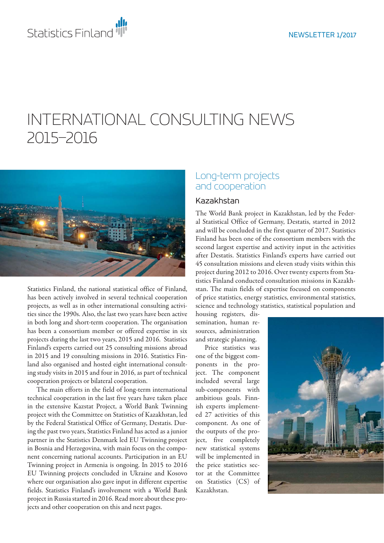# INTERNATIONAL CONSULTING NEWS 2015–2016



Statistics Finland, the national statistical office of Finland, has been actively involved in several technical cooperation projects, as well as in other international consulting activities since the 1990s. Also, the last two years have been active in both long and short-term cooperation. The organisation has been a consortium member or offered expertise in six projects during the last two years, 2015 and 2016. Statistics Finland's experts carried out 25 consulting missions abroad in 2015 and 19 consulting missions in 2016. Statistics Finland also organised and hosted eight international consulting study visits in 2015 and four in 2016, as part of technical cooperation projects or bilateral cooperation.

The main efforts in the field of long-term international technical cooperation in the last five years have taken place in the extensive Kazstat Project, a World Bank Twinning project with the Committee on Statistics of Kazakhstan, led by the Federal Statistical Office of Germany, Destatis. During the past two years, Statistics Finland has acted as a junior partner in the Statistics Denmark led EU Twinning project in Bosnia and Herzegovina, with main focus on the component concerning national accounts. Participation in an EU Twinning project in Armenia is ongoing. In 2015 to 2016 EU Twinning projects concluded in Ukraine and Kosovo where our organisation also gave input in different expertise fields. Statistics Finland's involvement with a World Bank project in Russia started in 2016. Read more about these projects and other cooperation on this and next pages.

## Long-term projects and cooperation

#### Kazakhstan

The World Bank project in Kazakhstan, led by the Federal Statistical Office of Germany, Destatis, started in 2012 and will be concluded in the first quarter of 2017. Statistics Finland has been one of the consortium members with the second largest expertise and activity input in the activities after Destatis. Statistics Finland's experts have carried out 45 consultation missions and eleven study visits within this project during 2012 to 2016. Over twenty experts from Statistics Finland conducted consultation missions in Kazakhstan. The main fields of expertise focused on components of price statistics, energy statistics, environmental statistics, science and technology statistics, statistical population and

housing registers, dissemination, human resources, administration and strategic planning.

Price statistics was one of the biggest components in the project. The component included several large sub-components with ambitious goals. Finnish experts implemented 27 activities of this component. As one of the outputs of the project, five completely new statistical systems will be implemented in the price statistics sector at the Committee on Statistics (CS) of Kazakhstan.

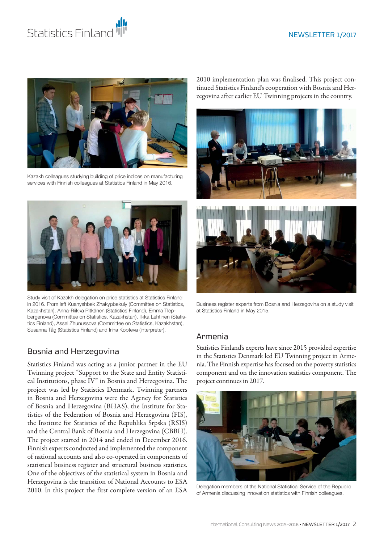#### NEWSLETTER 1/2017





Kazakh colleagues studying building of price indices on manufacturing services with Finnish colleagues at Statistics Finland in May 2016.



Study visit of Kazakh delegation on price statistics at Statistics Finland in 2016. From left Kuanyshbek Zhakypbekuly (Committee on Statistics, Kazakhstan), Anna-Riikka Pitkänen (Statistics Finland), Emma Tlepbergenova (Committee on Statistics, Kazakhstan), Ilkka Lehtinen (Statistics Finland), Assel Zhunussova (Committee on Statistics, Kazakhstan), Susanna Tåg (Statistics Finland) and Irina Kopteva (interpreter).

#### Bosnia and Herzegovina

Statistics Finland was acting as a junior partner in the EU Twinning project "Support to the State and Entity Statistical Institutions, phase IV" in Bosnia and Herzegovina. The project was led by Statistics Denmark. Twinning partners in Bosnia and Herzegovina were the Agency for Statistics of Bosnia and Herzegovina (BHAS), the Institute for Statistics of the Federation of Bosnia and Herzegovina (FIS), the Institute for Statistics of the Republika Srpska (RSIS) and the Central Bank of Bosnia and Herzegovina (CBBH). The project started in 2014 and ended in December 2016. Finnish experts conducted and implemented the component of national accounts and also co-operated in components of statistical business register and structural business statistics. One of the objectives of the statistical system in Bosnia and Herzegovina is the transition of National Accounts to ESA 2010. In this project the first complete version of an ESA

2010 implementation plan was finalised. This project continued Statistics Finland's cooperation with Bosnia and Herzegovina after earlier EU Twinning projects in the country.





Business register experts from Bosnia and Herzegovina on a study visit at Statistics Finland in May 2015.

#### Armenia

Statistics Finland's experts have since 2015 provided expertise in the Statistics Denmark led EU Twinning project in Armenia. The Finnish expertise has focused on the poverty statistics component and on the innovation statistics component. The project continues in 2017.



Delegation members of the National Statistical Service of the Republic of Armenia discussing innovation statistics with Finnish colleagues.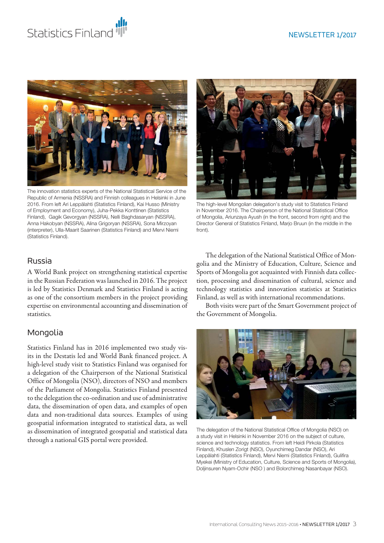



The innovation statistics experts of the National Statistical Service of the Republic of Armenia (NSSRA) and Finnish colleagues in Helsinki in June 2016. From left Ari Leppälahti (Statistics Finland), Kai Husso (Ministry of Employment and Economy), Juha-Pekka Konttinen (Statistics Finland), Gagik Gevorgyan (NSSRA), Nelli Baghdasaryan (NSSRA), Anna Hakobyan (NSSRA), Alina Grigoryan (NSSRA), Sona Mirzoyan (interpreter), Ulla-Maarit Saarinen (Statistics Finland) and Mervi Niemi (Statistics Finland).



The high-level Mongolian delegation's study visit to Statistics Finland in November 2016. The Chairperson of the National Statistical Office of Mongolia, Ariunzaya Ayush (in the front, second from right) and the Director General of Statistics Finland, Marjo Bruun (in the middle in the front).

#### Russia

A World Bank project on strengthening statistical expertise in the Russian Federation was launched in 2016. The project is led by Statistics Denmark and Statistics Finland is acting as one of the consortium members in the project providing expertise on environmental accounting and dissemination of statistics.

## Mongolia

Statistics Finland has in 2016 implemented two study visits in the Destatis led and World Bank financed project. A high-level study visit to Statistics Finland was organised for a delegation of the Chairperson of the National Statistical Office of Mongolia (NSO), directors of NSO and members of the Parliament of Mongolia. Statistics Finland presented to the delegation the co-ordination and use of administrative data, the dissemination of open data, and examples of open data and non-traditional data sources. Examples of using geospatial information integrated to statistical data, as well as dissemination of integrated geospatial and statistical data through a national GIS portal were provided.

The delegation of the National Statistical Office of Mongolia and the Ministry of Education, Culture, Science and Sports of Mongolia got acquainted with Finnish data collection, processing and dissemination of cultural, science and technology statistics and innovation statistics at Statistics Finland, as well as with international recommendations.

Both visits were part of the Smart Government project of the Government of Mongolia.



The delegation of the National Statistical Office of Mongolia (NSO) on a study visit in Helsinki in November 2016 on the subject of culture, science and technology statistics. From left Heidi Pirkola (Statistics Finland), Khuslen Zorigt (NSO), Oyunchimeg Dandar (NSO), Ari Leppälahti (Statistics Finland), Mervi Niemi (Statistics Finland), Gulifira Myekei (Ministry of Education, Culture, Science and Sports of Mongolia), Doljinsuren Nyam-Ochir (NSO ) and Bolorchimeg Nasanbayar (NSO).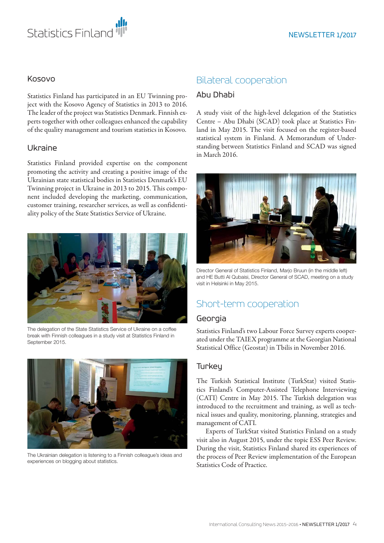

#### Kosovo

Statistics Finland has participated in an EU Twinning project with the Kosovo Agency of Statistics in 2013 to 2016. The leader of the project was Statistics Denmark. Finnish experts together with other colleagues enhanced the capability of the quality management and tourism statistics in Kosovo.

#### Ukraine

Statistics Finland provided expertise on the component promoting the activity and creating a positive image of the Ukrainian state statistical bodies in Statistics Denmark's EU Twinning project in Ukraine in 2013 to 2015. This component included developing the marketing, communication, customer training, researcher services, as well as confidentiality policy of the State Statistics Service of Ukraine.



The delegation of the State Statistics Service of Ukraine on a coffee break with Finnish colleagues in a study visit at Statistics Finland in September 2015.



The Ukrainian delegation is listening to a Finnish colleague's ideas and experiences on blogging about statistics.

## Bilateral cooperation

#### Abu Dhabi

A study visit of the high-level delegation of the Statistics Centre – Abu Dhabi (SCAD) took place at Statistics Finland in May 2015. The visit focused on the register-based statistical system in Finland. A Memorandum of Understanding between Statistics Finland and SCAD was signed in March 2016.



Director General of Statistics Finland, Marjo Bruun (in the middle left) and HE Butti Al Qubaisi, Director General of SCAD, meeting on a study visit in Helsinki in May 2015.

# Short-term cooperation

#### Georgia

Statistics Finland's two Labour Force Survey experts cooperated under the TAIEX programme at the Georgian National Statistical Office (Geostat) in Tbilis in November 2016.

#### **Turkey**

The Turkish Statistical Institute (TurkStat) visited Statistics Finland's Computer-Assisted Telephone Interviewing (CATI) Centre in May 2015. The Turkish delegation was introduced to the recruitment and training, as well as technical issues and quality, monitoring, planning, strategies and management of CATI.

Experts of TurkStat visited Statistics Finland on a study visit also in August 2015, under the topic ESS Peer Review. During the visit, Statistics Finland shared its experiences of the process of Peer Review implementation of the European Statistics Code of Practice.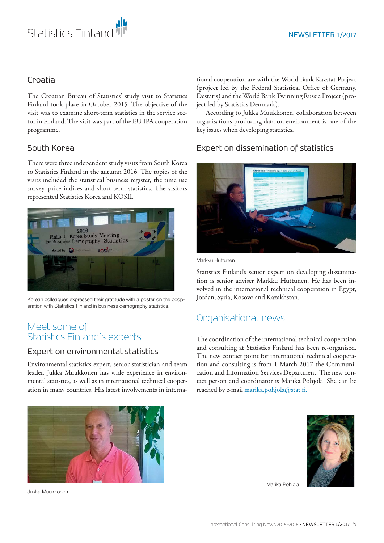

#### Croatia

The Croatian Bureau of Statistics' study visit to Statistics Finland took place in October 2015. The objective of the visit was to examine short-term statistics in the service sector in Finland. The visit was part of the EU IPA cooperation programme.

#### South Korea

There were three independent study visits from South Korea to Statistics Finland in the autumn 2016. The topics of the visits included the statistical business register, the time use survey, price indices and short-term statistics. The visitors represented Statistics Korea and KOSII.



Korean colleagues expressed their gratitude with a poster on the cooperation with Statistics Finland in business demography statistics.

## Meet some of Statistics Finland's experts

#### Expert on environmental statistics

Environmental statistics expert, senior statistician and team leader, Jukka Muukkonen has wide experience in environmental statistics, as well as in international technical cooperation in many countries. His latest involvements in interna-

tional cooperation are with the World Bank Kazstat Project (project led by the Federal Statistical Office of Germany, Destatis) and the World Bank Twinning Russia Project (project led by Statistics Denmark).

According to Jukka Muukkonen, collaboration between organisations producing data on environment is one of the key issues when developing statistics.

### Expert on dissemination of statistics



Markku Huttunen

Statistics Finland's senior expert on developing dissemination is senior adviser Markku Huttunen. He has been involved in the international technical cooperation in Egypt, Jordan, Syria, Kosovo and Kazakhstan.

# Organisational news

The coordination of the international technical cooperation and consulting at Statistics Finland has been re-organised. The new contact point for international technical cooperation and consulting is from 1 March 2017 the Communication and Information Services Department. The new contact person and coordinator is Marika Pohjola. She can be reached by e-mail marika.pohjola@stat.fi.



Jukka Muukkonen



Marika Pohjola